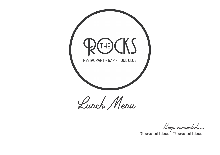

Keep connected...

@therocksairliebeach #therocksairliebeach